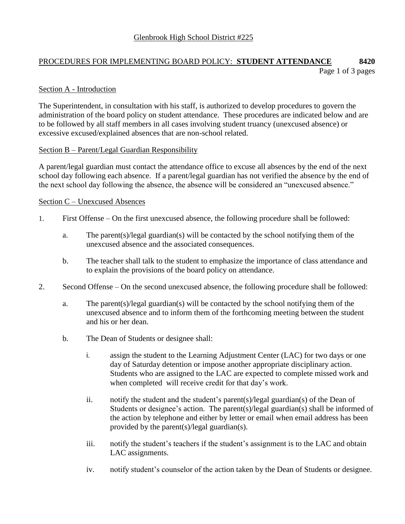# PROCEDURES FOR IMPLEMENTING BOARD POLICY: **STUDENT ATTENDANCE 8420** Page 1 of 3 pages

# Section A - Introduction

The Superintendent, in consultation with his staff, is authorized to develop procedures to govern the administration of the board policy on student attendance. These procedures are indicated below and are to be followed by all staff members in all cases involving student truancy (unexcused absence) or excessive excused/explained absences that are non-school related.

#### Section B – Parent/Legal Guardian Responsibility

A parent/legal guardian must contact the attendance office to excuse all absences by the end of the next school day following each absence. If a parent/legal guardian has not verified the absence by the end of the next school day following the absence, the absence will be considered an "unexcused absence."

#### Section C – Unexcused Absences

- 1. First Offense On the first unexcused absence, the following procedure shall be followed:
	- a. The parent(s)/legal guardian(s) will be contacted by the school notifying them of the unexcused absence and the associated consequences.
	- b. The teacher shall talk to the student to emphasize the importance of class attendance and to explain the provisions of the board policy on attendance.
- 2. Second Offense On the second unexcused absence, the following procedure shall be followed:
	- a. The parent(s)/legal guardian(s) will be contacted by the school notifying them of the unexcused absence and to inform them of the forthcoming meeting between the student and his or her dean.
	- b. The Dean of Students or designee shall:
		- i. assign the student to the Learning Adjustment Center (LAC) for two days or one day of Saturday detention or impose another appropriate disciplinary action. Students who are assigned to the LAC are expected to complete missed work and when completed will receive credit for that day's work.
		- ii. notify the student and the student's parent(s)/legal guardian(s) of the Dean of Students or designee's action. The parent(s)/legal guardian(s) shall be informed of the action by telephone and either by letter or email when email address has been provided by the parent(s)/legal guardian(s).
		- iii. notify the student's teachers if the student's assignment is to the LAC and obtain LAC assignments.
		- iv. notify student's counselor of the action taken by the Dean of Students or designee.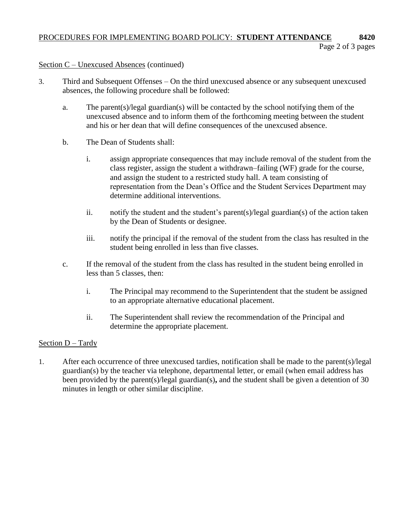# PROCEDURES FOR IMPLEMENTING BOARD POLICY: **STUDENT ATTENDANCE 8420**

# Section C – Unexcused Absences (continued)

- 3. Third and Subsequent Offenses On the third unexcused absence or any subsequent unexcused absences, the following procedure shall be followed:
	- a. The parent(s)/legal guardian(s) will be contacted by the school notifying them of the unexcused absence and to inform them of the forthcoming meeting between the student and his or her dean that will define consequences of the unexcused absence.
	- b. The Dean of Students shall:
		- i. assign appropriate consequences that may include removal of the student from the class register, assign the student a withdrawn–failing (WF) grade for the course, and assign the student to a restricted study hall. A team consisting of representation from the Dean's Office and the Student Services Department may determine additional interventions.
		- ii. notify the student and the student's parent(s)/legal guardian(s) of the action taken by the Dean of Students or designee.
		- iii. notify the principal if the removal of the student from the class has resulted in the student being enrolled in less than five classes.
	- c. If the removal of the student from the class has resulted in the student being enrolled in less than 5 classes, then:
		- i. The Principal may recommend to the Superintendent that the student be assigned to an appropriate alternative educational placement.
		- ii. The Superintendent shall review the recommendation of the Principal and determine the appropriate placement.

# Section  $D - T$ ardy

1. After each occurrence of three unexcused tardies, notification shall be made to the parent(s)/legal guardian(s) by the teacher via telephone, departmental letter, or email (when email address has been provided by the parent(s)/legal guardian(s)**,** and the student shall be given a detention of 30 minutes in length or other similar discipline.